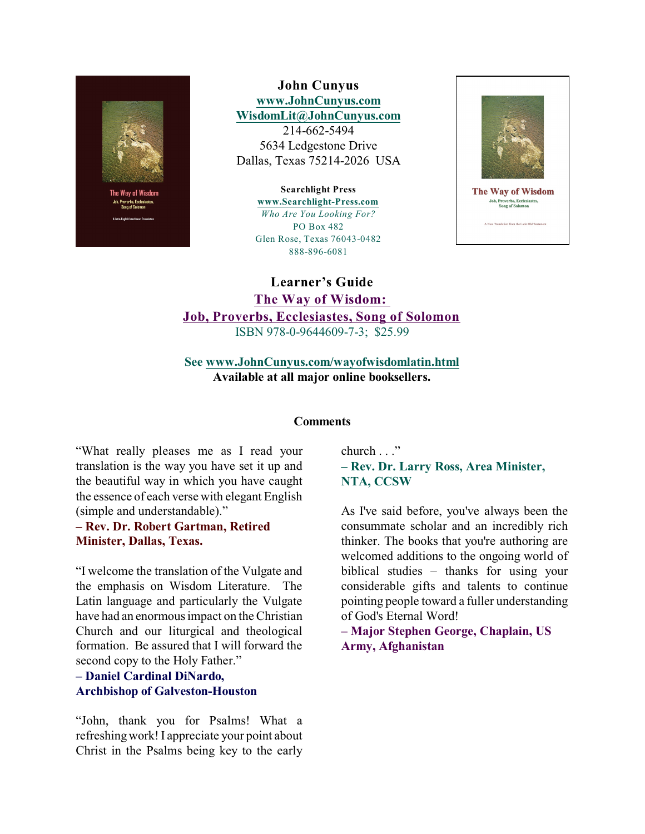

**John Cunyus [www.JohnCunyus.com](http://www.JohnCunyus.com) [WisdomLit@JohnCunyus.com](mailto:WisdomLit@JohnCunyus.com)** 214-662-5494

5634 Ledgestone Drive Dallas, Texas 75214-2026 USA

**Searchlight Press**

**[www.Searchlight-Press.com](http://www.Searchlight-Press.com)** *Who Are You Looking For?* PO Box 482 Glen Rose, Texas 76043-0482 888-896-6081



The Way of Wisdom **Job, Proverbs, Ecclesiastes<br>Song of Solomon** 

A New Translation from the Latin Old Test

**Learner's Guide The Way of Wisdom: Job, Proverbs, Ecclesiastes, Song of Solomon** ISBN 978-0-9644609-7-3; \$25.99

**See [www.JohnCunyus.com/wayofwisdomlatin.html](http://www.JohnCunyus.com/wayofwisdomlatin.html) Available at all major online booksellers.**

#### **Comments**

"What really pleases me as I read your translation is the way you have set it up and the beautiful way in which you have caught the essence of each verse with elegant English (simple and understandable)."

# **– Rev. Dr. Robert Gartman, Retired Minister, Dallas, Texas.**

"I welcome the translation of the Vulgate and the emphasis on Wisdom Literature. The Latin language and particularly the Vulgate have had an enormous impact on the Christian Church and our liturgical and theological formation. Be assured that I will forward the second copy to the Holy Father."

# **– Daniel Cardinal DiNardo, Archbishop of Galveston-Houston**

"John, thank you for Psalms! What a refreshingwork!I appreciate your point about Christ in the Psalms being key to the early church . . ."

# **– Rev. Dr. Larry Ross, Area Minister, NTA, CCSW**

As I've said before, you've always been the consummate scholar and an incredibly rich thinker. The books that you're authoring are welcomed additions to the ongoing world of biblical studies – thanks for using your considerable gifts and talents to continue pointing people toward a fuller understanding of God's Eternal Word!

**– Major Stephen George, Chaplain, US Army, Afghanistan**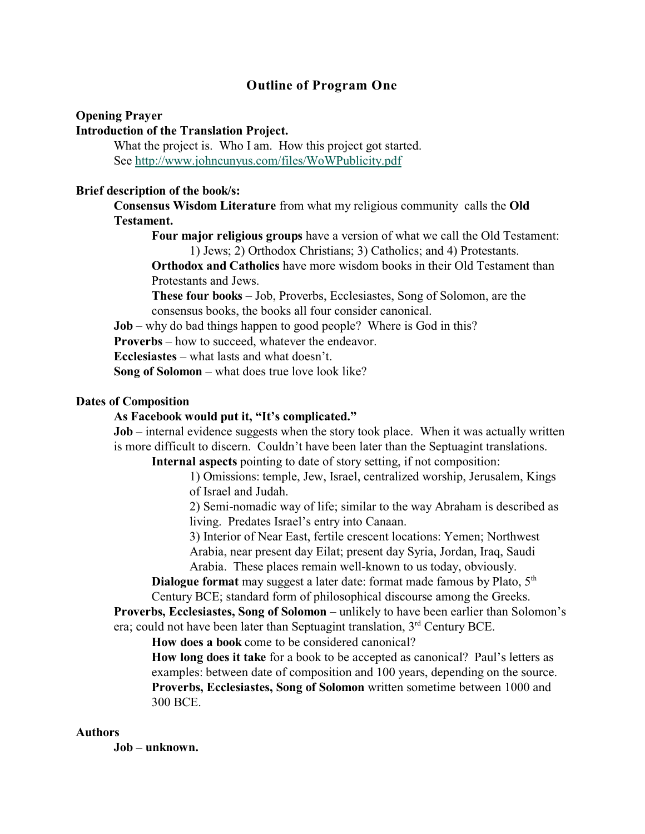# **Outline of Program One**

#### **Opening Prayer**

# **Introduction of the Translation Project.**

What the project is. Who I am. How this project got started. See <http://www.johncunyus.com/files/WoWPublicity.pdf>

## **Brief description of the book/s:**

**Consensus Wisdom Literature** from what my religious community calls the **Old Testament.**

**Four major religious groups** have a version of what we call the Old Testament: 1) Jews; 2) Orthodox Christians; 3) Catholics; and 4) Protestants.

**Orthodox and Catholics** have more wisdom books in their Old Testament than Protestants and Jews.

**These four books** – Job, Proverbs, Ecclesiastes, Song of Solomon, are the consensus books, the books all four consider canonical.

**Job** – why do bad things happen to good people? Where is God in this?

**Proverbs** – how to succeed, whatever the endeavor.

**Ecclesiastes** – what lasts and what doesn't.

**Song of Solomon** – what does true love look like?

## **Dates of Composition**

#### **As Facebook would put it, "It's complicated."**

**Job** – internal evidence suggests when the story took place. When it was actually written is more difficult to discern. Couldn't have been later than the Septuagint translations.

**Internal aspects** pointing to date of story setting, if not composition:

1) Omissions: temple, Jew, Israel, centralized worship, Jerusalem, Kings of Israel and Judah.

2) Semi-nomadic way of life; similar to the way Abraham is described as living. Predates Israel's entry into Canaan.

3) Interior of Near East, fertile crescent locations: Yemen; Northwest Arabia, near present day Eilat; present day Syria, Jordan, Iraq, Saudi Arabia. These places remain well-known to us today, obviously.

**Dialogue format** may suggest a later date: format made famous by Plato, 5<sup>th</sup> Century BCE; standard form of philosophical discourse among the Greeks.

**Proverbs, Ecclesiastes, Song of Solomon** – unlikely to have been earlier than Solomon's era; could not have been later than Septuagint translation,  $3<sup>rd</sup>$  Century BCE.

**How does a book** come to be considered canonical?

**How long does it take** for a book to be accepted as canonical? Paul's letters as examples: between date of composition and 100 years, depending on the source. **Proverbs, Ecclesiastes, Song of Solomon** written sometime between 1000 and 300 BCE.

## **Authors**

**Job – unknown.**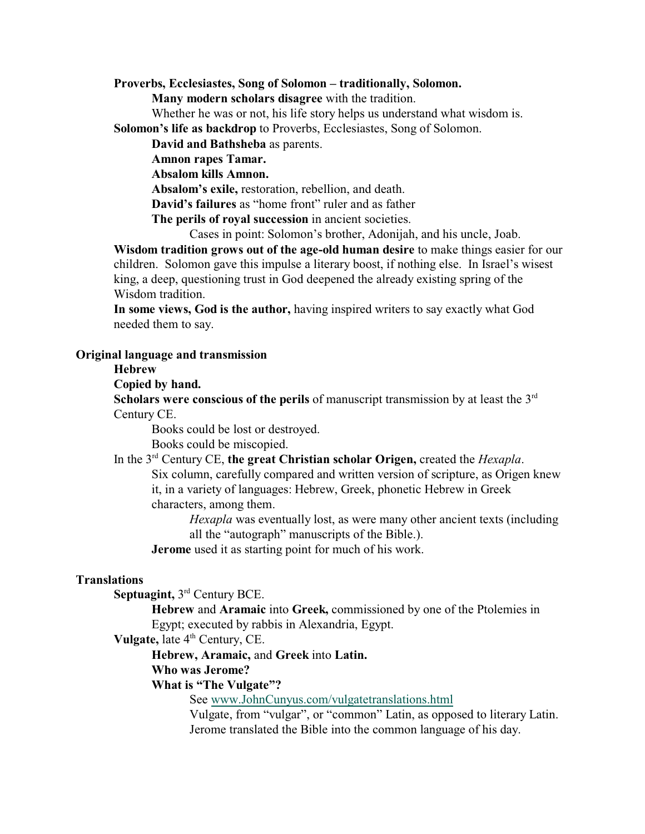**Proverbs, Ecclesiastes, Song of Solomon – traditionally, Solomon.**

**Many modern scholars disagree** with the tradition.

Whether he was or not, his life story helps us understand what wisdom is. **Solomon's life as backdrop** to Proverbs, Ecclesiastes, Song of Solomon.

**David and Bathsheba** as parents.

**Amnon rapes Tamar.**

**Absalom kills Amnon.**

**Absalom's exile,** restoration, rebellion, and death.

**David's failures** as "home front" ruler and as father

**The perils of royal succession** in ancient societies.

Cases in point: Solomon's brother, Adonijah, and his uncle, Joab.

**Wisdom tradition grows out of the age-old human desire** to make things easier for our children. Solomon gave this impulse a literary boost, if nothing else. In Israel's wisest king, a deep, questioning trust in God deepened the already existing spring of the Wisdom tradition.

**In some views, God is the author,** having inspired writers to say exactly what God needed them to say.

### **Original language and transmission**

## **Hebrew**

**Copied by hand.**

**Scholars were conscious of the perils** of manuscript transmission by at least the 3rd Century CE.

Books could be lost or destroyed.

Books could be miscopied.

In the 3<sup>rd</sup> Century CE, the great Christian scholar Origen, created the *Hexapla*. Six column, carefully compared and written version of scripture, as Origen knew it, in a variety of languages: Hebrew, Greek, phonetic Hebrew in Greek characters, among them.

> *Hexapla* was eventually lost, as were many other ancient texts (including all the "autograph" manuscripts of the Bible.).

**Jerome** used it as starting point for much of his work.

# **Translations**

**Septuagint, 3<sup>rd</sup> Century BCE.** 

**Hebrew** and **Aramaic** into **Greek,** commissioned by one of the Ptolemies in Egypt; executed by rabbis in Alexandria, Egypt.

**Vulgate, late 4<sup>th</sup> Century, CE.** 

**Hebrew, Aramaic,** and **Greek** into **Latin.**

**Who was Jerome?**

**What is "The Vulgate"?**

See [www.JohnCunyus.com/vulgatetranslations.html](http://www.JohnCunyus.com/vulgatetranslations.html)

Vulgate, from "vulgar", or "common" Latin, as opposed to literary Latin. Jerome translated the Bible into the common language of his day.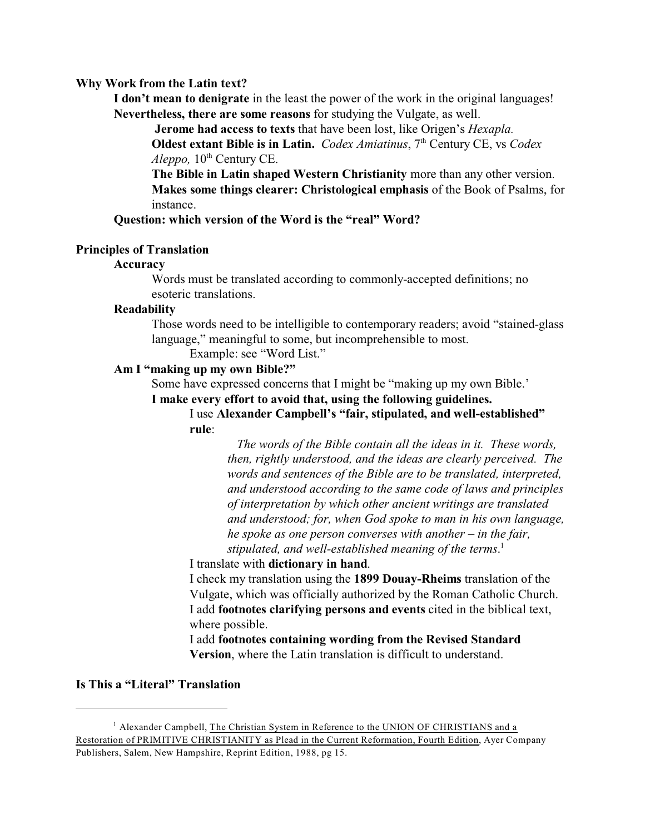#### **Why Work from the Latin text?**

**I don't mean to denigrate** in the least the power of the work in the original languages! **Nevertheless, there are some reasons** for studying the Vulgate, as well.

**Jerome had access to texts** that have been lost, like Origen's *Hexapla.*

**Oldest extant Bible is in Latin.** *Codex Amiatinus*, 7<sup>th</sup> Century CE, vs *Codex*  $A leppo$ ,  $10<sup>th</sup>$  Century CE.

**The Bible in Latin shaped Western Christianity** more than any other version. **Makes some things clearer: Christological emphasis** of the Book of Psalms, for instance.

**Question: which version of the Word is the "real" Word?**

### **Principles of Translation**

## **Accuracy**

Words must be translated according to commonly-accepted definitions; no esoteric translations.

### **Readability**

Those words need to be intelligible to contemporary readers; avoid "stained-glass language," meaningful to some, but incomprehensible to most.

Example: see "Word List."

#### **Am I "making up my own Bible?"**

Some have expressed concerns that I might be "making up my own Bible.'

**I make every effort to avoid that, using the following guidelines.**

I use **Alexander Campbell's "fair, stipulated, and well-established" rule**:

> *The words of the Bible contain all the ideas in it. These words, then, rightly understood, and the ideas are clearly perceived. The words and sentences of the Bible are to be translated, interpreted, and understood according to the same code of laws and principles of interpretation by which other ancient writings are translated and understood; for, when God spoke to man in his own language, he spoke as one person converses with another – in the fair, stipulated, and well-established meaning of the terms*. 1

I translate with **dictionary in hand**.

I check my translation using the **1899 Douay-Rheims** translation of the Vulgate, which was officially authorized by the Roman Catholic Church. I add **footnotes clarifying persons and events** cited in the biblical text, where possible.

I add **footnotes containing wording from the Revised Standard Version**, where the Latin translation is difficult to understand.

# **Is This a "Literal" Translation**

<sup>&</sup>lt;sup>1</sup> Alexander Campbell, The Christian System in Reference to the UNION OF CHRISTIANS and a Restoration of PRIMITIVE CHRISTIANITY as Plead in the Current Reformation, Fourth Edition, Ayer Company Publishers, Salem, New Hampshire, Reprint Edition, 1988, pg 15.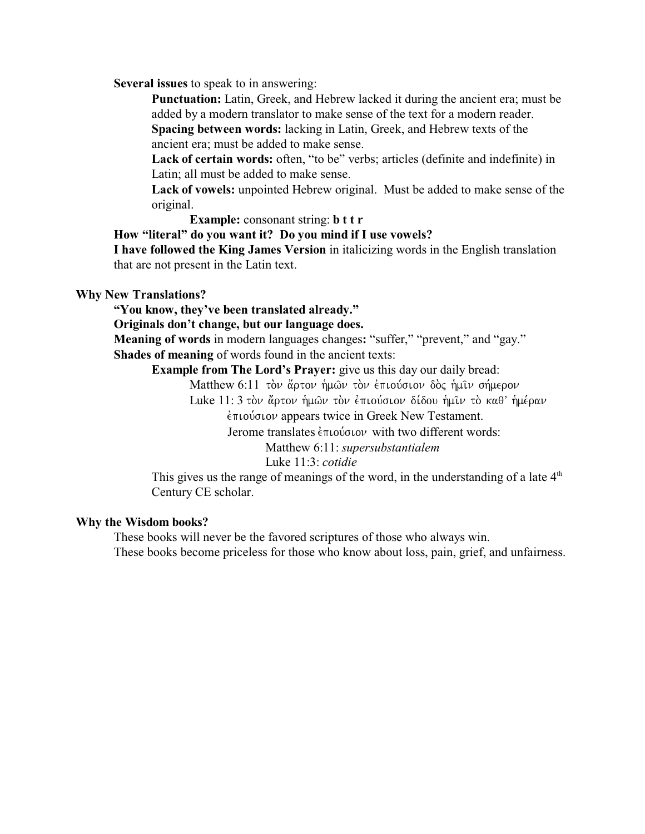**Several issues** to speak to in answering:

**Punctuation:** Latin, Greek, and Hebrew lacked it during the ancient era; must be added by a modern translator to make sense of the text for a modern reader.

**Spacing between words:** lacking in Latin, Greek, and Hebrew texts of the ancient era; must be added to make sense.

Lack of certain words: often, "to be" verbs; articles (definite and indefinite) in Latin; all must be added to make sense.

**Lack of vowels:** unpointed Hebrew original. Must be added to make sense of the original.

**Example:** consonant string: **b t t r**

**How "literal" do you want it? Do you mind if I use vowels?**

**I have followed the King James Version** in italicizing words in the English translation that are not present in the Latin text.

## **Why New Translations?**

**"You know, they've been translated already."**

**Originals don't change, but our language does.**

**Meaning of words** in modern languages changes**:** "suffer," "prevent," and "gay." **Shades of meaning** of words found in the ancient texts:

**Example from The Lord's Prayer:** give us this day our daily bread:

Matthew 6:11 τον ἄρτον ἡμων τον ἐπιούσιον δος ἡμιν σήμερον

Luke 11: 3 τον άρτον ήμων τον επιούσιον δίδου ήμιν το καθ' ήμέραν

 $\epsilon$ πιούσιον appears twice in Greek New Testament.

Jerome translates  $\epsilon \pi \omega \omega \omega$  with two different words:

Matthew 6:11: *supersubstantialem* 

# Luke 11:3: *cotidie*

This gives us the range of meanings of the word, in the understanding of a late  $4<sup>th</sup>$ Century CE scholar.

### **Why the Wisdom books?**

These books will never be the favored scriptures of those who always win. These books become priceless for those who know about loss, pain, grief, and unfairness.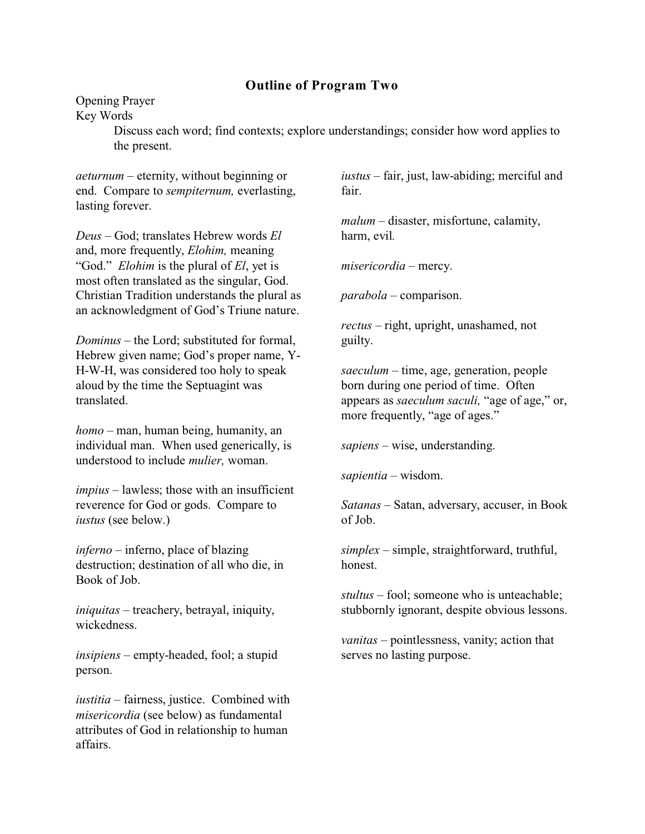# **Outline of Program Two**

Opening Prayer

Key Words

Discuss each word; find contexts; explore understandings; consider how word applies to the present.

*aeturnum* – eternity, without beginning or end.Compare to *sempiternum,* everlasting, lasting forever.

*Deus* – God; translates Hebrew words *El* and, more frequently, *Elohim,* meaning "God." *Elohim* is the plural of *El*, yet is most often translated as the singular, God. Christian Tradition understands the plural as an acknowledgment of God's Triune nature.

*Dominus* – the Lord; substituted for formal, Hebrew given name; God's proper name, Y-H-W-H, was considered too holy to speak aloud by the time the Septuagint was translated.

*homo –* man, human being, humanity, an individual man. When used generically, is understood to include *mulier,* woman.

*impius* – lawless; those with an insufficient reverence for God or gods. Compare to *iustus* (see below.)

*inferno* – inferno, place of blazing destruction; destination of all who die, in Book of Job.

*iniquitas* – treachery, betrayal, iniquity, wickedness.

*insipiens* – empty-headed, fool; a stupid person.

*iustitia* – fairness, justice. Combined with *misericordia* (see below) as fundamental attributes of God in relationship to human affairs.

*iustus* – fair, just, law-abiding; merciful and fair.

*malum* – disaster, misfortune, calamity, harm, evil*.*

*misericordia* – mercy.

*parabola* – comparison.

*rectus –* right, upright, unashamed, not guilty.

*saeculum –* time, age, generation, people born during one period of time. Often appears as *saeculum saculi,* "age of age," or, more frequently, "age of ages."

*sapiens* – wise, understanding.

*sapientia* – wisdom.

*Satanas* – Satan, adversary, accuser, in Book of Job.

*simplex –* simple, straightforward, truthful, honest.

*stultus* – fool; someone who is unteachable; stubbornly ignorant, despite obvious lessons.

*vanitas* – pointlessness, vanity; action that serves no lasting purpose.